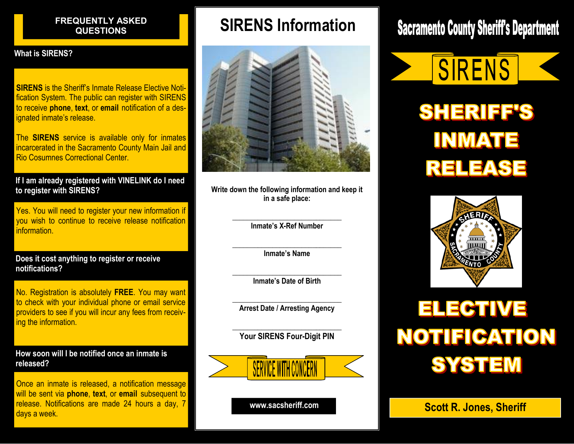### FREQUENTLY ASKED

#### What is SIRENS?

**SIRENS** is the Sheriff's Inmate Release Elective Notification System. The public can register with SIRENS to receive phone, text, or email notification of a designated inmate's release.

The **SIRENS** service is available only for inmates incarcerated in the Sacramento County Main Jail and Rio Cosumnes Correctional Center.

If I am already registered with VINELINK do I need to register with SIRENS?

Yes. You will need to register your new information if you wish to continue to receive release notification information.

Does it cost anything to register or receive notifications?

No. Registration is absolutely FREE. You may want to check with your individual phone or email service providers to see if you will incur any fees from receiving the information.

How soon will I be notified once an inmate is released?

Once an inmate is released, a notification message will be sent via phone, text, or email subsequent to release. Notifications are made 24 hours a day, 7 release. Notifications are made 24 hours a day, 7 **www.sacsheriff.com Scott R. Jones, Sheriff** days a week.

## QUENTLY ASKED **The SIRENS Information**



Write down the following information and keep it in a safe place:

> $\overline{\phantom{a}}$  , and the contribution of the contribution of the contribution of the contribution of the contribution of the contribution of the contribution of the contribution of the contribution of the contribution of the Inmate's X-Ref Number

> $\overline{\phantom{a}}$  , and the contribution of the contribution of the contribution of the contribution of the contribution of the contribution of the contribution of the contribution of the contribution of the contribution of the Inmate's Name

> $\overline{\phantom{a}}$  , and the contribution of the contribution of the contribution of the contribution of the contribution of the contribution of the contribution of the contribution of the contribution of the contribution of the Inmate's Date of Birth

> $\overline{\phantom{a}}$  , and the contribution of the contribution of the contribution of the contribution of the contribution of the contribution of the contribution of the contribution of the contribution of the contribution of the Arrest Date / Arresting Agency

> $\overline{\phantom{a}}$  , and the contribution of the contribution of the contribution of the contribution of the contribution of the contribution of the contribution of the contribution of the contribution of the contribution of the Your SIRENS Four-Digit PIN



# **Sacramento County Sheriff's Department**

SIRENS **SHERIFF'S INMATE** RELEASE



# **ELECTIVE NOTIFICATION SYSTEM**